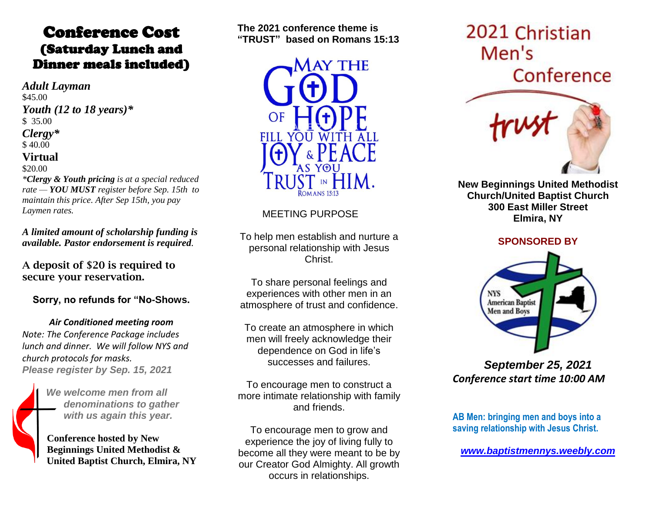### Conference Cost (Saturday Lunch and Dinner meals included)

*Adult Layman* \$45.00 *Youth (12 to 18 years)\** \$ 35.00 *Clergy\** \$ 40.00 **Virtual**  \$20.00

*\*Clergy & Youth pricing is at a special reduced rate — YOU MUST register before Sep. 15th to maintain this price. After Sep 15th, you pay Laymen rates.*

*A limited amount of scholarship funding is available. Pastor endorsement is required.*

**A deposit of \$20 is required to secure your reservation.**

**Sorry, no refunds for "No-Shows.**

*Air Conditioned meeting room Note: The Conference Package includes lunch and dinner. We will follow NYS and church protocols for masks. Please register by Sep. 15, 2021*



*We welcome men from all denominations to gather with us again this year.*

**Conference hosted by New Beginnings United Methodist & United Baptist Church, Elmira, NY**

**The 2021 conference theme is "TRUST" based on Romans 15:13**



#### MEETING PURPOSE

To help men establish and nurture a personal relationship with Jesus Christ.

To share personal feelings and experiences with other men in an atmosphere of trust and confidence.

To create an atmosphere in which men will freely acknowledge their dependence on God in life's successes and failures.

To encourage men to construct a more intimate relationship with family and friends.

To encourage men to grow and experience the joy of living fully to become all they were meant to be by our Creator God Almighty. All growth occurs in relationships.

# 2021 Christian Men's Conference



**New Beginnings United Methodist Church/United Baptist Church 300 East Miller Street Elmira, NY** 

#### **SPONSORED BY**



*September 25, 2021 Conference start time 10:00 AM*

**AB Men: bringing men and boys into a saving relationship with Jesus Christ.**

*[www.baptistmennys.weebly.com](http://www.baptistmennys.weebly.com/)*